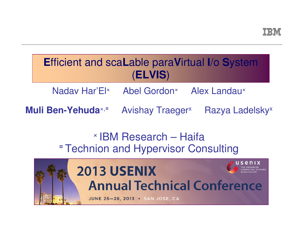# **E**fficient and sca**L**able para**V**irtual **I**/o **S**ystem(**ELVIS**)

Nadav Har'El× Abel Gordon<sup>×</sup> Alex Landau<sup>×</sup>

**Muli Ben-Yehuda**×,¤Avishay Traeger<sup>x</sup> Razya Ladelsky<sup>x</sup>

# × IBM Research – Haifa**¤ Technion and Hypervisor Consulting**

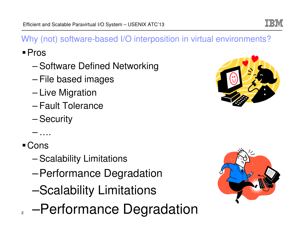## Why (not) software-based I/O interposition in virtual environments?

Pros

- –Software Defined Networking
- –File based images
- –Live Migration
- –Fault Tolerance
- –**Security**

–….

Cons

- –Scalability Limitations
- –Performance Degradation
- –Scalability Limitations
- <sup>2</sup> Performance Degradation





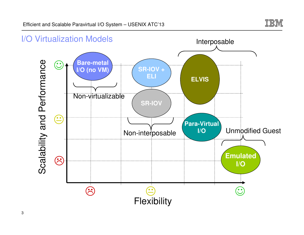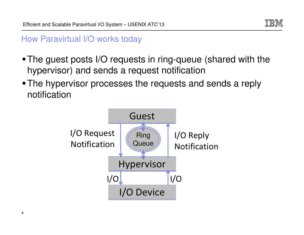

### How Paravirtual I/O works today

- The guest posts I/O requests in ring-queue (shared with the hypervisor) and sends a request notification
- The hypervisor processes the requests and sends a reply notification

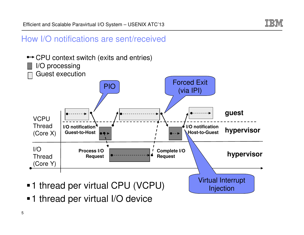

#### How I/O notifications are sent/received



**-1** thread per virtual I/O device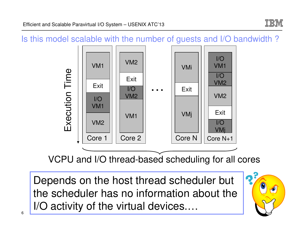

#### Is this model scalable with the number of guests and I/O bandwidth ?



VCPU and I/O thread-based scheduling for all cores

Depends on the host thread scheduler but the scheduler has no information about the I/O activity of the virtual devices.…

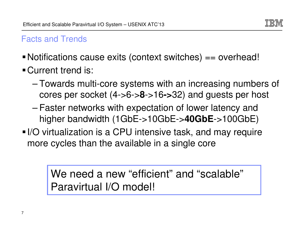

## Facts and Trends

- Notifications cause exits (context switches) == overhead!
- **Current trend is:** 
	- – Towards multi-core systems with an increasing numbers of cores per socket (4->6->**8**->16**->**32) and guests per host
	- Faster networks with expectation of lower latency and higher bandwidth (1GbE->10GbE->**40GbE**->100GbE)
- I/O virtualization is a CPU intensive task, and may require more cycles than the available in a single core

We need a new "efficient" and "scalable" Paravirtual I/O model!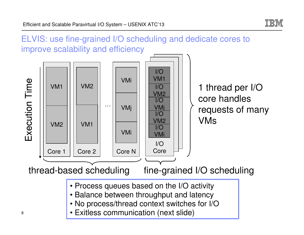

ELVIS: use fine-grained I/O scheduling and dedicate cores to improve scalability and efficiency

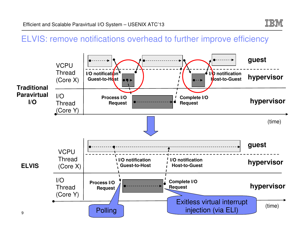

### ELVIS: remove notifications overhead to further improve efficiency

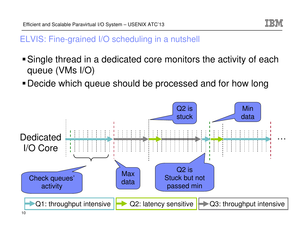

### ELVIS: Fine-grained I/O scheduling in a nutshell

- Single thread in a dedicated core monitors the activity of each queue (VMs I/O)
- Decide which queue should be processed and for how long

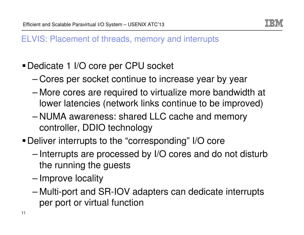

## ELVIS: Placement of threads, memory and interrupts

- Dedicate 1 I/O core per CPU socket
	- Cores per socket continue to increase year by year
	- More cores are required to virtualize more bandwidth at lower latencies (network links continue to be improved)
	- NUMA awareness: shared LLC cache and memory controller, DDIO technology
- Deliver interrupts to the "corresponding" I/O core
	- – Interrupts are processed by I/O cores and do not disturb the running the guests
	- Improve locality
	- Multi-port and SR-IOV adapters can dedicate interrupts per port or virtual function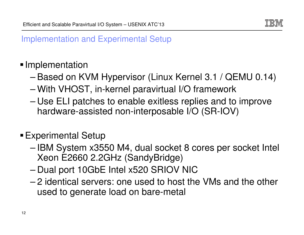

## Implementation and Experimental Setup

## **Implementation**

- –Based on KVM Hypervisor (Linux Kernel 3.1 / QEMU 0.14)
- –With VHOST, in-kernel paravirtual I/O framework
- – Use ELI patches to enable exitless replies and to improve hardware-assisted non-interposable I/O (SR-IOV)

## Experimental Setup

- – IBM System x3550 M4, dual socket 8 cores per socket Intel Xeon E2660 2.2GHz (SandyBridge)
- –Dual port 10GbE Intel x520 SRIOV NIC
- 2 Idantical carvare: ona licad to hoet th 2 identical servers: one used to host the VMs and the other used to generate load on bare-metal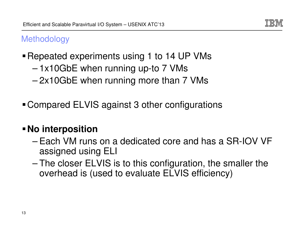

## **Methodology**

- **Repeated experiments using 1 to 14 UP VMs** 
	- –1x10GbE when running up-to 7 VMs
	- 2x10GbE when running more than 7 VMs
- Compared ELVIS against 3 other configurations

## **No interposition**

- – Each VM runs on a dedicated core and has a SR-IOV VF assigned using ELI
- The closer ELVIS is to this configuration, the smaller the overhead is (used to evaluate ELVIS efficiency)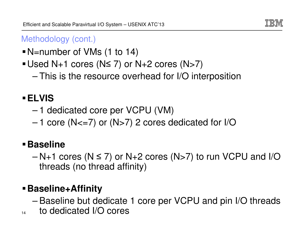

## Methodology (cont.)

- N=number of VMs (1 to 14)
- Used N+1 cores (N<sup>≤</sup> 7) or N+2 cores (N>7)
	- This is the resource overhead for I/O interposition

# **ELVIS**

- –1 dedicated core per VCPU (VM)
- –1 core (N<=7) or (N>7) 2 cores dedicated for I/O

# **Baseline**

– $N+1$  cores  $(N \le 7)$  or  $N+2$  cores  $(N>7)$  to run VCPU and I/O threads (no thread affinity)

# **Baseline+Affinity**

- Baseline but dedicate 1 core per VCPU and pin I/O threads
- 14to dedicated I/O cores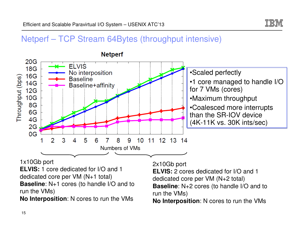

#### Netperf – TCP Stream 64Bytes (throughput intensive)



1x10Gb port

 **ELVIS:** 1 core dedicated for I/O and 1 dedicated core per VM (N+1 total)**Baseline**: N+1 cores (to handle I/O and to run the VMs)

**No Interposition**: N cores to run the VMs

2x10Gb port

**ELVIS:** 2 cores dedicated for I/O and 1 dedicated core per VM (N+2 total) **Baseline**: N+2 cores (to handle I/O and to run the VMs)

**No Interposition**: N cores to run the VMs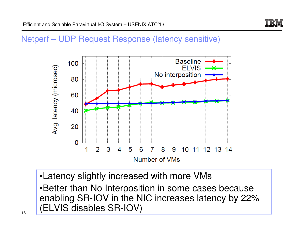

#### Netperf – UDP Request Response (latency sensitive)



•Latency slightly increased with more VMs •Better than No Interposition in some cases because enabling SR-IOV in the NIC increases latency by 22%(ELVIS disables SR-IOV)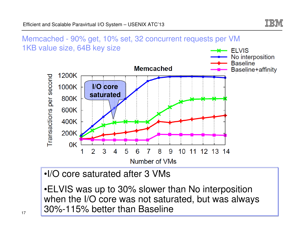



•ELVIS was up to 30% slower than No interposition when the I/O core was not saturated, but was always30%-115% better than Baseline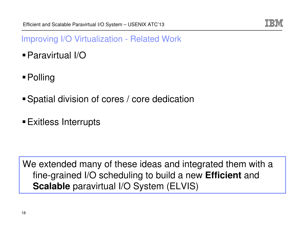

Improving I/O Virtualization - Related Work

- Paravirtual I/O
- Polling
- Spatial division of cores / core dedication
- Exitless Interrupts

We extended many of these ideas and integrated them with a fine-grained I/O scheduling to build a new **Efficient** and **Scalable** paravirtual I/O System (ELVIS)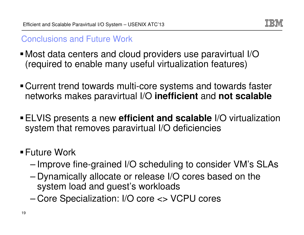

## Conclusions and Future Work

- Most data centers and cloud providers use paravirtual I/O(required to enable many useful virtualization features)
- Current trend towards multi-core systems and towards faster networks makes paravirtual I/O **inefficient** and **not scalable**
- ELVIS presents a new **efficient and scalable** I/O virtualization system that removes paravirtual I/O deficiencies
- **Future Work** 
	- –Improve fine-grained I/O scheduling to consider VM's SLAs
	- – Dynamically allocate or release I/O cores based on the system load and guest's workloads
	- –Core Specialization: I/O core <> VCPU cores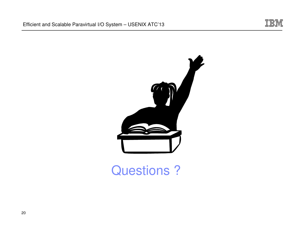

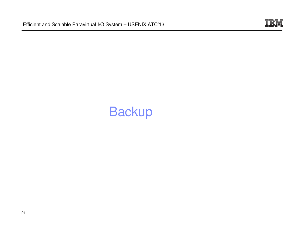

# Backup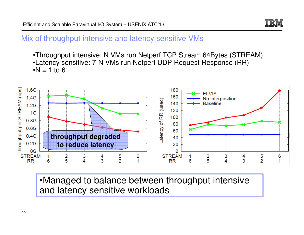

#### Mix of throughput intensive and latency sensitive VMs

•Throughput intensive: N VMs run Netperf TCP Stream 64Bytes (STREAM)•Latency sensitive: 7-N VMs run Netperf UDP Request Response (RR) $\cdot N = 1$  to 6



•Managed to balance between throughput intensive and latency sensitive workloads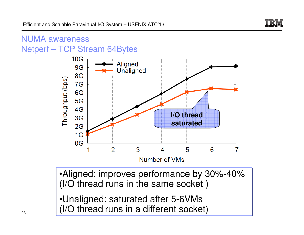

# NUMA awareness

Netperf – TCP Stream 64Bytes



•Aligned: improves performance by 30%-40%(I/O thread runs in the same socket )

•Unaligned: saturated after 5-6VMs(I/O thread runs in a different socket)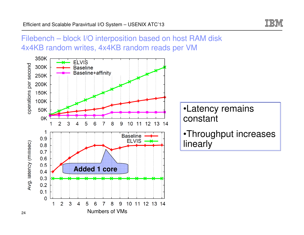

Filebench – block I/O interposition based on host RAM disk4x4KB random writes, 4x4KB random reads per VM

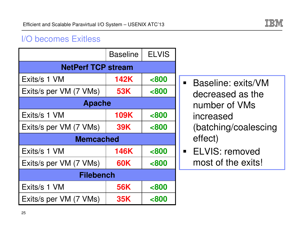

### I/O becomes Exitless

|                           | <b>Baseline</b> | <b>ELVIS</b>   |
|---------------------------|-----------------|----------------|
| <b>NetPerf TCP stream</b> |                 |                |
| Exits/s 1 VM              | <b>142K</b>     | < 800          |
| Exits/s per VM (7 VMs)    | <b>53K</b>      | <800           |
| <b>Apache</b>             |                 |                |
| Exits/s 1 VM              | <b>109K</b>     | < 800          |
| Exits/s per VM (7 VMs)    | <b>39K</b>      | <800           |
| <b>Memcached</b>          |                 |                |
| Exits/s 1 VM              | <b>146K</b>     | <800           |
| Exits/s per VM (7 VMs)    | <b>60K</b>      | < 800          |
| <b>Filebench</b>          |                 |                |
| Exits/s 1 VM              | <b>56K</b>      | <800           |
| Exits/s per VM (7 VMs)    | <b>35K</b>      | <b>&lt;800</b> |

- Baseline: exits/VM decreased as the number of VMs increased (batching/coalescing effect)
- ELVIS: removed most of the exits!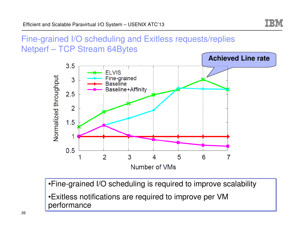

## Fine-grained I/O scheduling and Exitless requests/repliesNetperf – TCP Stream 64Bytes



- •Fine-grained I/O scheduling is required to improve scalability
- •Exitless notifications are required to improve per VM performance